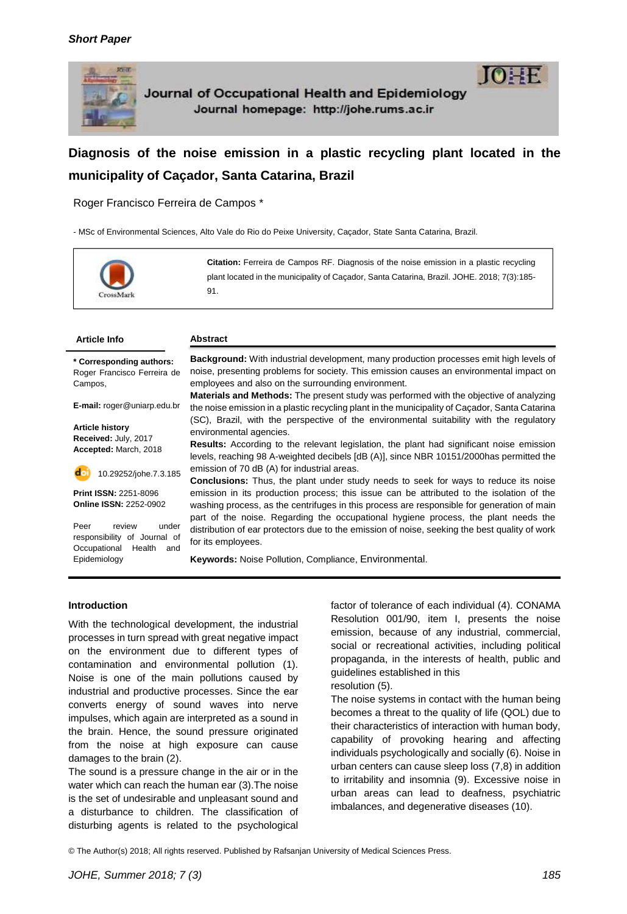

Journal of Occupational Health and Epidemiology Journal homepage: http://johe.rums.ac.ir



# **Diagnosis of the noise emission in a plastic recycling plant located in the municipality of Caçador, Santa Catarina, Brazil**

Roger Francisco Ferreira de Campos \*

- MSc of Environmental Sciences, Alto Vale do Rio do Peixe University, Caçador, State Santa Catarina, Brazil.



**Citation:** Ferreira de Campos RF. Diagnosis of the noise emission in a plastic recycling plant located in the municipality of Caçador, Santa Catarina, Brazil. JOHE. 2018; 7(3):185- 91.

#### **Article Info Abstract**

**\* Corresponding authors:** Roger Francisco Ferreira de Campos,

**E-mail:** roger@uniarp.edu.br

**Article history Received:** July, 2017 **Accepted:** March, 2018

10.29252/johe.7.3.185

**Print ISSN:** 2251-8096 **Online ISSN:** 2252-0902

Peer review under responsibility of Journal of Occupational Health and Epidemiology

**Background:** With industrial development, many production processes emit high levels of noise, presenting problems for society. This emission causes an environmental impact on employees and also on the surrounding environment.

**Materials and Methods:** The present study was performed with the objective of analyzing the noise emission in a plastic recycling plant in the municipality of Caçador, Santa Catarina (SC), Brazil, with the perspective of the environmental suitability with the regulatory environmental agencies.

**Results:** According to the relevant legislation, the plant had significant noise emission levels, reaching 98 A-weighted decibels [dB (A)], since NBR 10151/2000has permitted the emission of 70 dB (A) for industrial areas.

**Conclusions:** Thus, the plant under study needs to seek for ways to reduce its noise emission in its production process; this issue can be attributed to the isolation of the washing process, as the centrifuges in this process are responsible for generation of main part of the noise. Regarding the occupational hygiene process, the plant needs the distribution of ear protectors due to the emission of noise, seeking the best quality of work for its employees.

**Keywords:** Noise Pollution, Compliance, Environmental.

### **Introduction**

With the technological development, the industrial processes in turn spread with great negative impact on the environment due to different types of contamination and environmental pollution (1). Noise is one of the main pollutions caused by industrial and productive processes. Since the ear converts energy of sound waves into nerve impulses, which again are interpreted as a sound in the brain. Hence, the sound pressure originated from the noise at high exposure can cause damages to the brain (2).

The sound is a pressure change in the air or in the water which can reach the human ear (3).The noise is the set of undesirable and unpleasant sound and a disturbance to children. The classification of disturbing agents is related to the psychological

factor of tolerance of each individual (4). CONAMA Resolution 001/90, item I, presents the noise emission, because of any industrial, commercial, social or recreational activities, including political propaganda, in the interests of health, public and guidelines established in this

# resolution (5).

The noise systems in contact with the human being becomes a threat to the quality of life (QOL) due to their characteristics of interaction with human body, capability of provoking hearing and affecting individuals psychologically and socially (6). Noise in urban centers can cause sleep loss (7,8) in addition to irritability and insomnia (9). Excessive noise in urban areas can lead to deafness, psychiatric imbalances, and degenerative diseases (10).

© The Author(s) 2018; All rights reserved. Published by Rafsanjan University of Medical Sciences Press.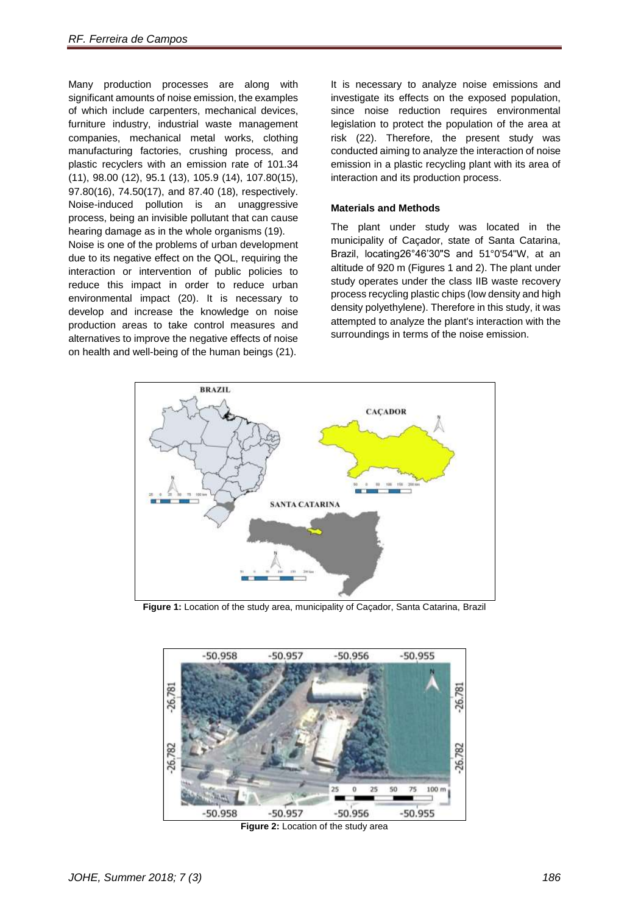Many production processes are along with significant amounts of noise emission, the examples of which include carpenters, mechanical devices, furniture industry, industrial waste management companies, mechanical metal works, clothing manufacturing factories, crushing process, and plastic recyclers with an emission rate of 101.34 (11), 98.00 (12), 95.1 (13), 105.9 (14), 107.80(15), 97.80(16), 74.50(17), and 87.40 (18), respectively. Noise-induced pollution is an unaggressive process, being an invisible pollutant that can cause hearing damage as in the whole organisms (19).

Noise is one of the problems of urban development due to its negative effect on the QOL, requiring the interaction or intervention of public policies to reduce this impact in order to reduce urban environmental impact (20). It is necessary to develop and increase the knowledge on noise production areas to take control measures and alternatives to improve the negative effects of noise on health and well-being of the human beings (21).

It is necessary to analyze noise emissions and investigate its effects on the exposed population, since noise reduction requires environmental legislation to protect the population of the area at risk (22). Therefore, the present study was conducted aiming to analyze the interaction of noise emission in a plastic recycling plant with its area of interaction and its production process.

## **Materials and Methods**

The plant under study was located in the municipality of Caçador, state of Santa Catarina, Brazil, locating26°46'30"S and 51°0'54"W, at an altitude of 920 m (Figures 1 and 2). The plant under study operates under the class IIB waste recovery process recycling plastic chips (low density and high density polyethylene). Therefore in this study, it was attempted to analyze the plant's interaction with the surroundings in terms of the noise emission.



**Figure 1:** Location of the study area, municipality of Caçador, Santa Catarina, Brazil



**Figure 2:** Location of the study area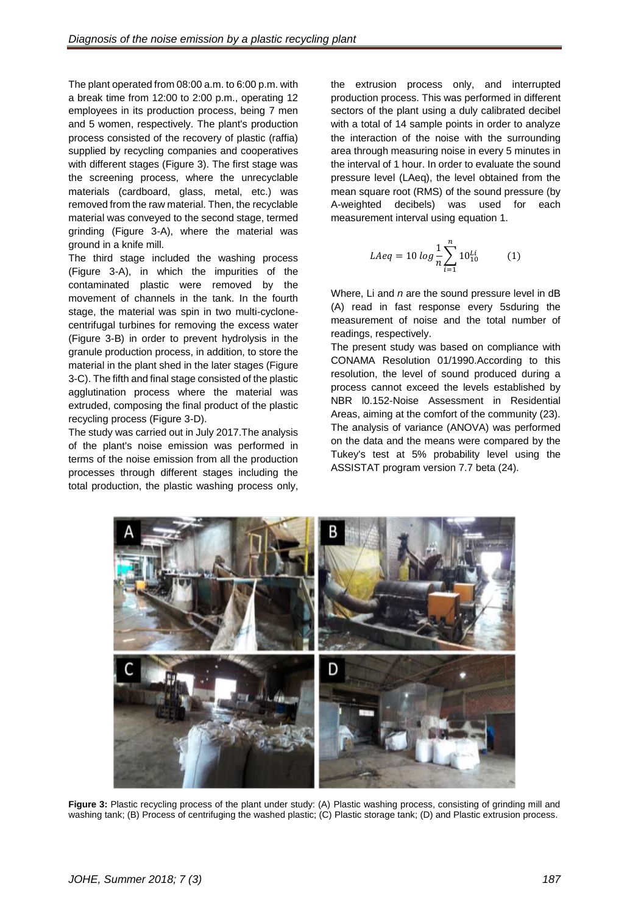The plant operated from 08:00 a.m. to 6:00 p.m. with a break time from 12:00 to 2:00 p.m., operating 12 employees in its production process, being 7 men and 5 women, respectively. The plant's production process consisted of the recovery of plastic (raffia) supplied by recycling companies and cooperatives with different stages (Figure 3). The first stage was the screening process, where the unrecyclable materials (cardboard, glass, metal, etc.) was removed from the raw material. Then, the recyclable material was conveyed to the second stage, termed grinding (Figure 3-A), where the material was ground in a knife mill.

The third stage included the washing process (Figure 3-A), in which the impurities of the contaminated plastic were removed by the movement of channels in the tank. In the fourth stage, the material was spin in two multi-cyclonecentrifugal turbines for removing the excess water (Figure 3-B) in order to prevent hydrolysis in the granule production process, in addition, to store the material in the plant shed in the later stages (Figure 3-C). The fifth and final stage consisted of the plastic agglutination process where the material was extruded, composing the final product of the plastic recycling process (Figure 3-D).

The study was carried out in July 2017.The analysis of the plant's noise emission was performed in terms of the noise emission from all the production processes through different stages including the total production, the plastic washing process only,

the extrusion process only, and interrupted production process. This was performed in different sectors of the plant using a duly calibrated decibel with a total of 14 sample points in order to analyze the interaction of the noise with the surrounding area through measuring noise in every 5 minutes in the interval of 1 hour. In order to evaluate the sound pressure level (LAeq), the level obtained from the mean square root (RMS) of the sound pressure (by A-weighted decibels) was used for each measurement interval using equation 1.

$$
LAeq = 10 \log \frac{1}{n} \sum_{i=1}^{n} 10_{10}^{Li}
$$
 (1)

Where, Li and *n* are the sound pressure level in dB (A) read in fast response every 5sduring the measurement of noise and the total number of readings, respectively.

The present study was based on compliance with CONAMA Resolution 01/1990.According to this resolution, the level of sound produced during a process cannot exceed the levels established by NBR l0.152-Noise Assessment in Residential Areas, aiming at the comfort of the community (23). The analysis of variance (ANOVA) was performed on the data and the means were compared by the Tukey's test at 5% probability level using the ASSISTAT program version 7.7 beta (24).



**Figure 3:** Plastic recycling process of the plant under study: (A) Plastic washing process, consisting of grinding mill and washing tank; (B) Process of centrifuging the washed plastic; (C) Plastic storage tank; (D) and Plastic extrusion process.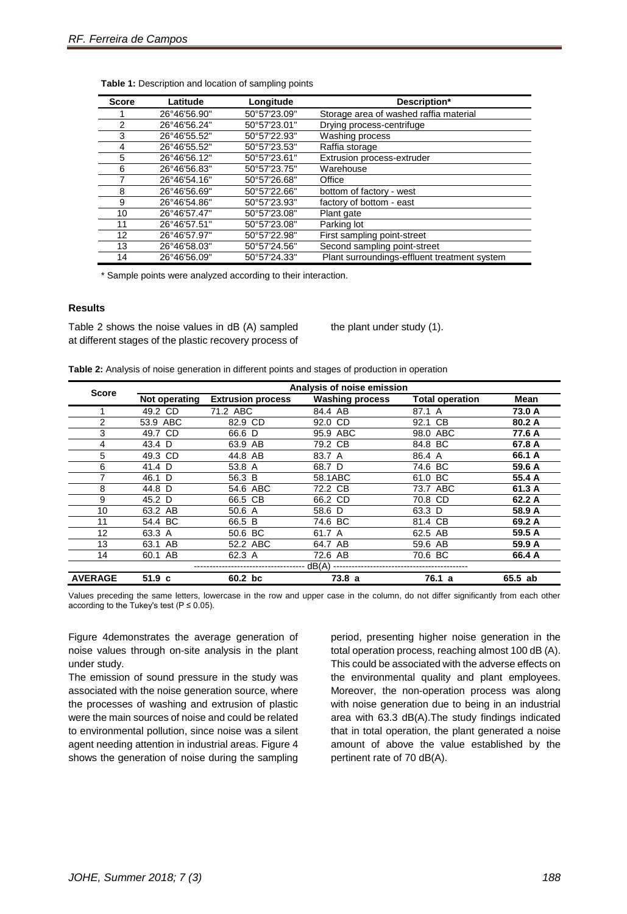| <b>Score</b> | Latitude     | Longitude    | Description*                                 |
|--------------|--------------|--------------|----------------------------------------------|
|              | 26°46'56.90" | 50°57'23.09" | Storage area of washed raffia material       |
| 2            | 26°46'56.24" | 50°57'23.01" | Drying process-centrifuge                    |
| 3            | 26°46'55.52" | 50°57'22.93" | Washing process                              |
| 4            | 26°46'55.52" | 50°57'23.53" | Raffia storage                               |
| 5            | 26°46'56.12" | 50°57'23.61" | Extrusion process-extruder                   |
| 6            | 26°46'56.83" | 50°57'23.75" | Warehouse                                    |
|              | 26°46'54.16" | 50°57'26.68" | Office                                       |
| 8            | 26°46'56.69" | 50°57'22.66" | bottom of factory - west                     |
| 9            | 26°46'54.86" | 50°57'23.93" | factory of bottom - east                     |
| 10           | 26°46'57.47" | 50°57'23.08" | Plant gate                                   |
| 11           | 26°46'57.51" | 50°57'23.08" | Parking lot                                  |
| 12           | 26°46'57.97" | 50°57'22.98" | First sampling point-street                  |
| 13           | 26°46'58.03" | 50°57'24.56" | Second sampling point-street                 |
| 14           | 26°46'56.09" | 50°57'24.33" | Plant surroundings-effluent treatment system |

| Table 1: Description and location of sampling points |  |  |  |
|------------------------------------------------------|--|--|--|
|------------------------------------------------------|--|--|--|

\* Sample points were analyzed according to their interaction.

#### **Results**

Table 2 shows the noise values in dB (A) sampled at different stages of the plastic recovery process of

the plant under study (1).

| Table 2: Analysis of noise generation in different points and stages of production in operation |  |  |  |
|-------------------------------------------------------------------------------------------------|--|--|--|
|-------------------------------------------------------------------------------------------------|--|--|--|

| <b>Score</b>   | Analysis of noise emission |                          |                        |                        |         |  |
|----------------|----------------------------|--------------------------|------------------------|------------------------|---------|--|
|                | Not operating              | <b>Extrusion process</b> | <b>Washing process</b> | <b>Total operation</b> | Mean    |  |
|                | 49.2 CD                    | 71.2 ABC                 | 84.4 AB                | 87.1 A                 | 73.0 A  |  |
| 2              | 53.9 ABC                   | 82.9 CD                  | 92.0 CD                | 92.1 CB                | 80.2 A  |  |
| 3              | 49.7 CD                    | 66.6 D                   | 95.9 ABC               | 98.0 ABC               | 77.6 A  |  |
| 4              | 43.4 D                     | 63.9 AB                  | 79.2 CB                | 84.8 BC                | 67.8 A  |  |
| 5              | 49.3 CD                    | 44.8 AB                  | 83.7 A                 | 86.4 A                 | 66.1 A  |  |
| 6              | 41.4 D                     | 53.8 A                   | 68.7 D                 | 74.6 BC                | 59.6 A  |  |
|                | 46.1 D                     | 56.3 B                   | 58.1ABC                | 61.0 BC                | 55.4 A  |  |
| 8              | 44.8 D                     | 54.6 ABC                 | 72.2 CB                | 73.7 ABC               | 61.3 A  |  |
| 9              | 45.2 D                     | 66.5 CB                  | 66.2 CD                | 70.8 CD                | 62.2 A  |  |
| 10             | 63.2 AB                    | 50.6 A                   | 58.6 D                 | 63.3 D                 | 58.9 A  |  |
| 11             | 54.4 BC                    | 66.5 B                   | 74.6 BC                | 81.4 CB                | 69.2 A  |  |
| 12             | 63.3 A                     | 50.6 BC                  | 61.7 A                 | 62.5 AB                | 59.5 A  |  |
| 13             | 63.1 AB                    | 52.2 ABC                 | 64.7 AB                | 59.6 AB                | 59.9 A  |  |
| 14             | 60.1 AB                    | 62.3 A                   | 72.6 AB                | 70.6 BC                | 66.4 A  |  |
| dB(A)          |                            |                          |                        |                        |         |  |
| <b>AVERAGE</b> | 51.9 <sub>c</sub>          | 60.2 bc                  | 73.8a                  | 76.1 a                 | 65.5 ab |  |

Values preceding the same letters, lowercase in the row and upper case in the column, do not differ significantly from each other according to the Tukey's test ( $P \le 0.05$ ).

Figure 4demonstrates the average generation of noise values through on-site analysis in the plant under study.

The emission of sound pressure in the study was associated with the noise generation source, where the processes of washing and extrusion of plastic were the main sources of noise and could be related to environmental pollution, since noise was a silent agent needing attention in industrial areas. Figure 4 shows the generation of noise during the sampling

period, presenting higher noise generation in the total operation process, reaching almost 100 dB (A). This could be associated with the adverse effects on the environmental quality and plant employees. Moreover, the non-operation process was along with noise generation due to being in an industrial area with 63.3 dB(A).The study findings indicated that in total operation, the plant generated a noise amount of above the value established by the pertinent rate of 70 dB(A).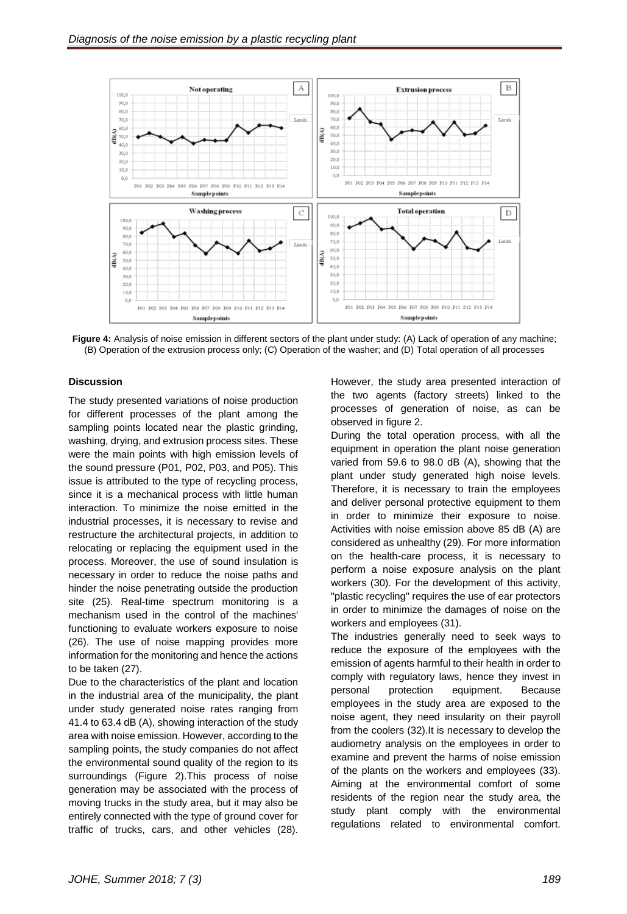

**Figure 4:** Analysis of noise emission in different sectors of the plant under study: (A) Lack of operation of any machine; (B) Operation of the extrusion process only; (C) Operation of the washer; and (D) Total operation of all processes

# **Discussion**

The study presented variations of noise production for different processes of the plant among the sampling points located near the plastic grinding, washing, drying, and extrusion process sites. These were the main points with high emission levels of the sound pressure (P01, P02, P03, and P05). This issue is attributed to the type of recycling process, since it is a mechanical process with little human interaction. To minimize the noise emitted in the industrial processes, it is necessary to revise and restructure the architectural projects, in addition to relocating or replacing the equipment used in the process. Moreover, the use of sound insulation is necessary in order to reduce the noise paths and hinder the noise penetrating outside the production site (25). Real-time spectrum monitoring is a mechanism used in the control of the machines' functioning to evaluate workers exposure to noise (26). The use of noise mapping provides more information for the monitoring and hence the actions to be taken (27).

Due to the characteristics of the plant and location in the industrial area of the municipality, the plant under study generated noise rates ranging from 41.4 to 63.4 dB (A), showing interaction of the study area with noise emission. However, according to the sampling points, the study companies do not affect the environmental sound quality of the region to its surroundings (Figure 2).This process of noise generation may be associated with the process of moving trucks in the study area, but it may also be entirely connected with the type of ground cover for traffic of trucks, cars, and other vehicles (28).

However, the study area presented interaction of the two agents (factory streets) linked to the processes of generation of noise, as can be observed in figure 2.

During the total operation process, with all the equipment in operation the plant noise generation varied from 59.6 to 98.0 dB (A), showing that the plant under study generated high noise levels. Therefore, it is necessary to train the employees and deliver personal protective equipment to them in order to minimize their exposure to noise. Activities with noise emission above 85 dB (A) are considered as unhealthy (29). For more information on the health-care process, it is necessary to perform a noise exposure analysis on the plant workers (30). For the development of this activity, "plastic recycling" requires the use of ear protectors in order to minimize the damages of noise on the workers and employees (31).

The industries generally need to seek ways to reduce the exposure of the employees with the emission of agents harmful to their health in order to comply with regulatory laws, hence they invest in personal protection equipment. Because employees in the study area are exposed to the noise agent, they need insularity on their payroll from the coolers (32).It is necessary to develop the audiometry analysis on the employees in order to examine and prevent the harms of noise emission of the plants on the workers and employees (33). Aiming at the environmental comfort of some residents of the region near the study area, the study plant comply with the environmental regulations related to environmental comfort.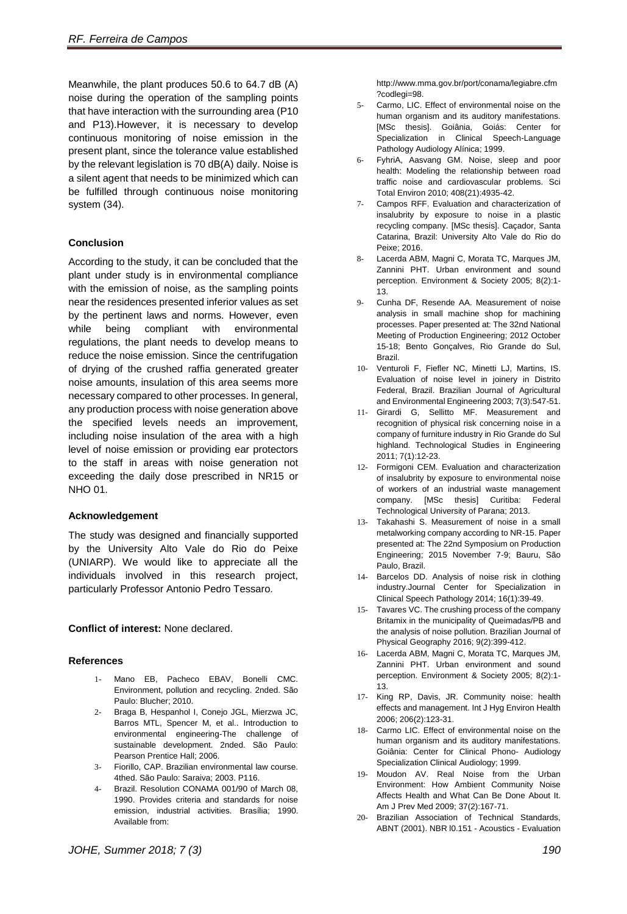Meanwhile, the plant produces 50.6 to 64.7 dB (A) noise during the operation of the sampling points that have interaction with the surrounding area (P10 and P13).However, it is necessary to develop continuous monitoring of noise emission in the present plant, since the tolerance value established by the relevant legislation is 70 dB(A) daily. Noise is a silent agent that needs to be minimized which can be fulfilled through continuous noise monitoring system (34).

# **Conclusion**

According to the study, it can be concluded that the plant under study is in environmental compliance with the emission of noise, as the sampling points near the residences presented inferior values as set by the pertinent laws and norms. However, even while being compliant with environmental regulations, the plant needs to develop means to reduce the noise emission. Since the centrifugation of drying of the crushed raffia generated greater noise amounts, insulation of this area seems more necessary compared to other processes. In general, any production process with noise generation above the specified levels needs an improvement, including noise insulation of the area with a high level of noise emission or providing ear protectors to the staff in areas with noise generation not exceeding the daily dose prescribed in NR15 or NHO 01.

# **Acknowledgement**

The study was designed and financially supported by the University Alto Vale do Rio do Peixe (UNIARP). We would like to appreciate all the individuals involved in this research project, particularly Professor Antonio Pedro Tessaro.

# **Conflict of interest:** None declared.

# **References**

- 1- Mano EB, Pacheco EBAV, Bonelli CMC. Environment, pollution and recycling. 2nded. São Paulo: Blucher; 2010.
- 2- Braga B, Hespanhol I, Conejo JGL, Mierzwa JC, Barros MTL, Spencer M, et al.. Introduction to environmental engineering-The challenge of sustainable development. 2nded. São Paulo: Pearson Prentice Hall; 2006.
- 3- Fiorillo, CAP. Brazilian environmental law course. 4thed. São Paulo: Saraiva; 2003. P116.
- 4- Brazil. Resolution CONAMA 001/90 of March 08, 1990. Provides criteria and standards for noise emission, industrial activities. [Brasília;](https://www.google.com/search?q=Brasilia+Brazil&stick=H4sIAAAAAAAAAOPgE-LQz9U3MDRNK1KCsDIq47VkspOt9HPykxNLMvPz9JPzS_NKiiqtkhMLMksScwBC2Z0YNAAAAA&sa=X&ved=2ahUKEwiKjJGcq5HdAhVHbVAKHTQfAAkQmxMoATAfegQIChAg&biw=1360&bih=654) 1990. Available from:

http://www.mma.gov.br/port/conama/legiabre.cfm ?codlegi=98.

- 5- Carmo, LIC. Effect of environmental noise on the human organism and its auditory manifestations. [MSc thesis]. Goiânia, Goiás: Center for Specialization in Clinical Speech-Language Pathology Audiology Alínica; 1999.
- 6- FyhriA, Aasvang GM. Noise, sleep and poor health: Modeling the relationship between road traffic noise and cardiovascular problems. Sci Total Environ 2010; 408(21):4935-42.
- 7- Campos RFF. Evaluation and characterization of insalubrity by exposure to noise in a plastic recycling company. [MSc thesis]. Caçador, Santa Catarina, [Brazil:](https://en.wikipedia.org/wiki/Brazil) University Alto Vale do Rio do Peixe; 2016.
- 8- Lacerda ABM, Magni C, Morata TC, Marques JM, Zannini PHT. Urban environment and sound perception. Environment & Society 2005; 8(2):1- 13.
- 9- Cunha DF, Resende AA. Measurement of noise analysis in small machine shop for machining processes. Paper presented at: The 32nd National Meeting of Production Engineering; 2012 October 15-18; Bento Gonçalves, Rio Grande do Sul, Brazil.
- 10- Venturoli F, Fiefler NC, Minetti LJ, Martins, IS. Evaluation of noise level in joinery in Distrito Federal, Brazil. Brazilian Journal of Agricultural and Environmental Engineering 2003; 7(3):547-51.
- 11- Girardi G, Sellitto MF. Measurement and recognition of physical risk concerning noise in a company of furniture industry in Rio Grande do Sul highland. Technological Studies in Engineering 2011; 7(1):12-23.
- 12- Formigoni CEM. Evaluation and characterization of insalubrity by exposure to environmental noise of workers of an industrial waste management company. [MSc thesis] Curitiba: Federal Technological University of Parana; 2013.
- 13- Takahashi S. Measurement of noise in a small metalworking company according to NR-15. Paper presented at: The 22nd Symposium on Production Engineering; 2015 November 7-9; Bauru, São Paulo, Brazil.
- 14- Barcelos DD. Analysis of noise risk in clothing industry.Journal Center for Specialization in Clinical Speech Pathology 2014; 16(1):39-49.
- 15- Tavares VC. The crushing process of the company Britamix in the municipality of Queimadas/PB and the analysis of noise pollution. Brazilian Journal of Physical Geography 2016; 9(2):399-412.
- 16- Lacerda ABM, Magni C, Morata TC, Marques JM, Zannini PHT. Urban environment and sound perception. Environment & Society 2005; 8(2):1- 13.
- 17- King RP, Davis, JR. Community noise: health effects and management. Int J Hyg Environ Health 2006; 206(2):123-31.
- 18- Carmo LIC. Effect of environmental noise on the human organism and its auditory manifestations. Goiânia: Center for Clinical Phono- Audiology Specialization Clinical Audiology; 1999.
- 19- Moudon AV. Real Noise from the Urban Environment: How Ambient Community Noise Affects Health and What Can Be Done About It. Am J Prev Med 2009; 37(2):167-71.
- 20- Brazilian Association of Technical Standards, ABNT (2001). NBR l0.151 - Acoustics - Evaluation